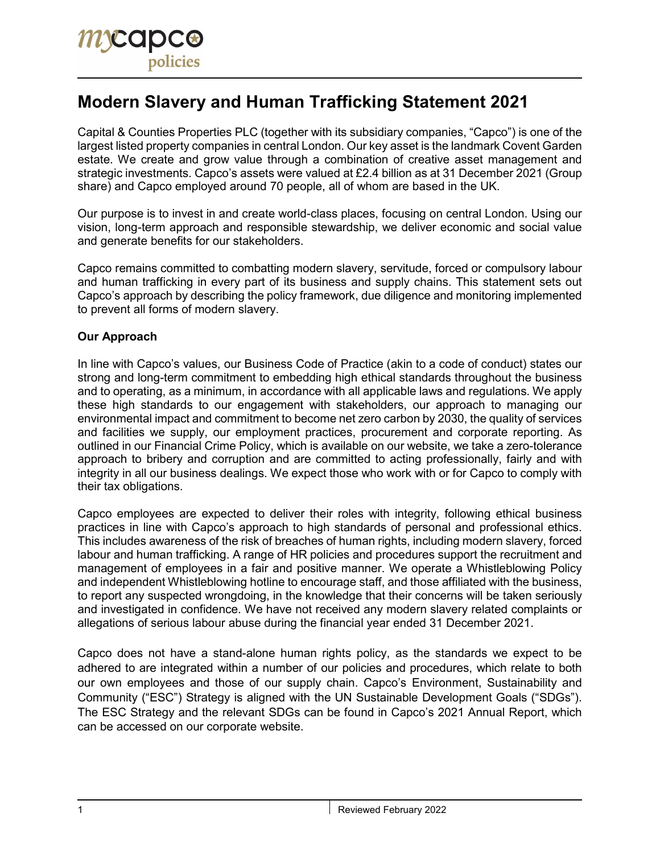# **Modern Slavery and Human Trafficking Statement 2021**

Capital & Counties Properties PLC (together with its subsidiary companies, "Capco") is one of the largest listed property companies in central London. Our key asset is the landmark Covent Garden estate. We create and grow value through a combination of creative asset management and strategic investments. Capco's assets were valued at £2.4 billion as at 31 December 2021 (Group share) and Capco employed around 70 people, all of whom are based in the UK.

Our purpose is to invest in and create world-class places, focusing on central London. Using our vision, long-term approach and responsible stewardship, we deliver economic and social value and generate benefits for our stakeholders.

Capco remains committed to combatting modern slavery, servitude, forced or compulsory labour and human trafficking in every part of its business and supply chains. This statement sets out Capco's approach by describing the policy framework, due diligence and monitoring implemented to prevent all forms of modern slavery.

# **Our Approach**

In line with Capco's values, our Business Code of Practice (akin to a code of conduct) states our strong and long-term commitment to embedding high ethical standards throughout the business and to operating, as a minimum, in accordance with all applicable laws and regulations. We apply these high standards to our engagement with stakeholders, our approach to managing our environmental impact and commitment to become net zero carbon by 2030, the quality of services and facilities we supply, our employment practices, procurement and corporate reporting. As outlined in our Financial Crime Policy, which is available on our website, we take a zero-tolerance approach to bribery and corruption and are committed to acting professionally, fairly and with integrity in all our business dealings. We expect those who work with or for Capco to comply with their tax obligations.

Capco employees are expected to deliver their roles with integrity, following ethical business practices in line with Capco's approach to high standards of personal and professional ethics. This includes awareness of the risk of breaches of human rights, including modern slavery, forced labour and human trafficking. A range of HR policies and procedures support the recruitment and management of employees in a fair and positive manner. We operate a Whistleblowing Policy and independent Whistleblowing hotline to encourage staff, and those affiliated with the business, to report any suspected wrongdoing, in the knowledge that their concerns will be taken seriously and investigated in confidence. We have not received any modern slavery related complaints or allegations of serious labour abuse during the financial year ended 31 December 2021.

Capco does not have a stand-alone human rights policy, as the standards we expect to be adhered to are integrated within a number of our policies and procedures, which relate to both our own employees and those of our supply chain. Capco's Environment, Sustainability and Community ("ESC") Strategy is aligned with the UN Sustainable Development Goals ("SDGs"). The ESC Strategy and the relevant SDGs can be found in Capco's 2021 Annual Report, which can be accessed on our corporate website.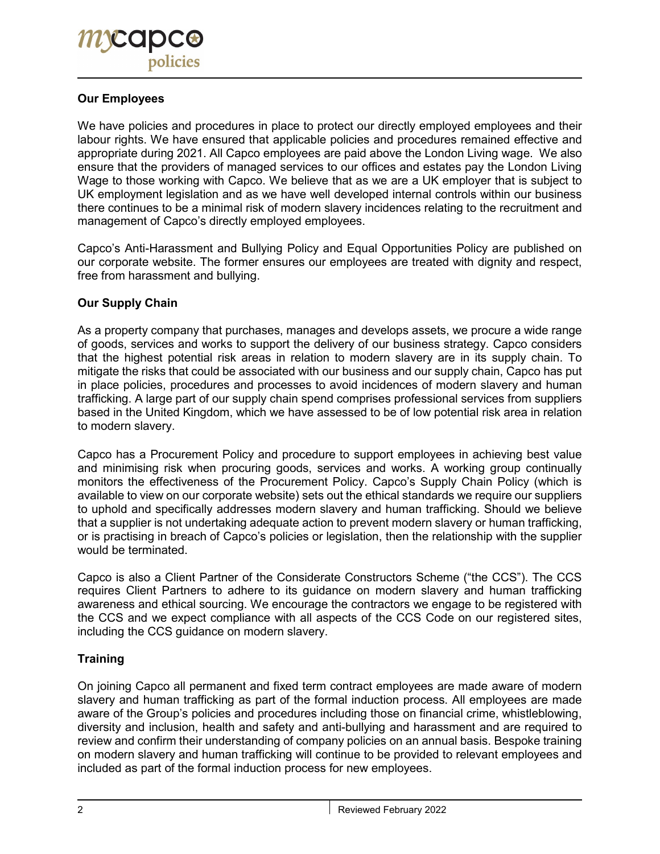# **Our Employees**

We have policies and procedures in place to protect our directly employed employees and their labour rights. We have ensured that applicable policies and procedures remained effective and appropriate during 2021. All Capco employees are paid above the London Living wage. We also ensure that the providers of managed services to our offices and estates pay the London Living Wage to those working with Capco. We believe that as we are a UK employer that is subject to UK employment legislation and as we have well developed internal controls within our business there continues to be a minimal risk of modern slavery incidences relating to the recruitment and management of Capco's directly employed employees.

Capco's Anti-Harassment and Bullying Policy and Equal Opportunities Policy are published on our corporate website. The former ensures our employees are treated with dignity and respect, free from harassment and bullying.

#### **Our Supply Chain**

As a property company that purchases, manages and develops assets, we procure a wide range of goods, services and works to support the delivery of our business strategy. Capco considers that the highest potential risk areas in relation to modern slavery are in its supply chain. To mitigate the risks that could be associated with our business and our supply chain, Capco has put in place policies, procedures and processes to avoid incidences of modern slavery and human trafficking. A large part of our supply chain spend comprises professional services from suppliers based in the United Kingdom, which we have assessed to be of low potential risk area in relation to modern slavery.

Capco has a Procurement Policy and procedure to support employees in achieving best value and minimising risk when procuring goods, services and works. A working group continually monitors the effectiveness of the Procurement Policy. Capco's Supply Chain Policy (which is available to view on our corporate website) sets out the ethical standards we require our suppliers to uphold and specifically addresses modern slavery and human trafficking. Should we believe that a supplier is not undertaking adequate action to prevent modern slavery or human trafficking, or is practising in breach of Capco's policies or legislation, then the relationship with the supplier would be terminated.

Capco is also a Client Partner of the Considerate Constructors Scheme ("the CCS"). The CCS requires Client Partners to adhere to its guidance on modern slavery and human trafficking awareness and ethical sourcing. We encourage the contractors we engage to be registered with the CCS and we expect compliance with all aspects of the CCS Code on our registered sites, including the CCS guidance on modern slavery.

#### **Training**

On joining Capco all permanent and fixed term contract employees are made aware of modern slavery and human trafficking as part of the formal induction process. All employees are made aware of the Group's policies and procedures including those on financial crime, whistleblowing, diversity and inclusion, health and safety and anti-bullying and harassment and are required to review and confirm their understanding of company policies on an annual basis. Bespoke training on modern slavery and human trafficking will continue to be provided to relevant employees and included as part of the formal induction process for new employees.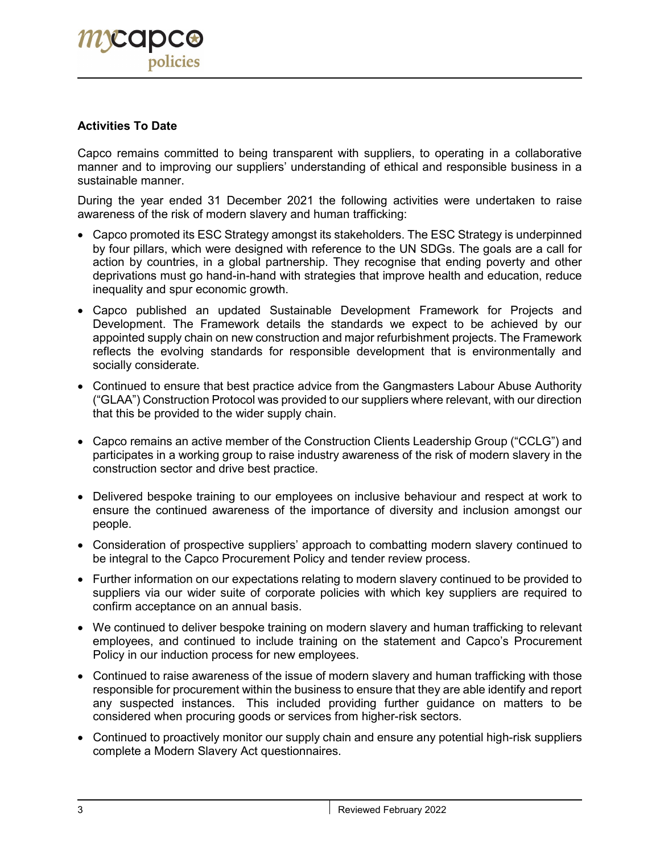# **Activities To Date**

Capco remains committed to being transparent with suppliers, to operating in a collaborative manner and to improving our suppliers' understanding of ethical and responsible business in a sustainable manner.

During the year ended 31 December 2021 the following activities were undertaken to raise awareness of the risk of modern slavery and human trafficking:

- Capco promoted its ESC Strategy amongst its stakeholders. The ESC Strategy is underpinned by four pillars, which were designed with reference to the UN SDGs. The goals are a call for action by countries, in a global partnership. They recognise that ending poverty and other deprivations must go hand-in-hand with strategies that improve health and education, reduce inequality and spur economic growth.
- Capco published an updated Sustainable Development Framework for Projects and Development. The Framework details the standards we expect to be achieved by our appointed supply chain on new construction and major refurbishment projects. The Framework reflects the evolving standards for responsible development that is environmentally and socially considerate.
- Continued to ensure that best practice advice from the Gangmasters Labour Abuse Authority ("GLAA") Construction Protocol was provided to our suppliers where relevant, with our direction that this be provided to the wider supply chain.
- Capco remains an active member of the Construction Clients Leadership Group ("CCLG") and participates in a working group to raise industry awareness of the risk of modern slavery in the construction sector and drive best practice.
- Delivered bespoke training to our employees on inclusive behaviour and respect at work to ensure the continued awareness of the importance of diversity and inclusion amongst our people.
- Consideration of prospective suppliers' approach to combatting modern slavery continued to be integral to the Capco Procurement Policy and tender review process.
- Further information on our expectations relating to modern slavery continued to be provided to suppliers via our wider suite of corporate policies with which key suppliers are required to confirm acceptance on an annual basis.
- We continued to deliver bespoke training on modern slavery and human trafficking to relevant employees, and continued to include training on the statement and Capco's Procurement Policy in our induction process for new employees.
- Continued to raise awareness of the issue of modern slavery and human trafficking with those responsible for procurement within the business to ensure that they are able identify and report any suspected instances. This included providing further guidance on matters to be considered when procuring goods or services from higher-risk sectors.
- Continued to proactively monitor our supply chain and ensure any potential high-risk suppliers complete a Modern Slavery Act questionnaires.